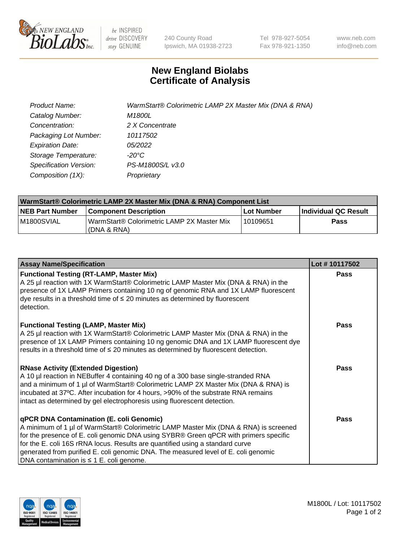

be INSPIRED drive DISCOVERY stay GENUINE

240 County Road Ipswich, MA 01938-2723 Tel 978-927-5054 Fax 978-921-1350 www.neb.com info@neb.com

## **New England Biolabs Certificate of Analysis**

| Product Name:           | WarmStart® Colorimetric LAMP 2X Master Mix (DNA & RNA) |
|-------------------------|--------------------------------------------------------|
| Catalog Number:         | M1800L                                                 |
| Concentration:          | 2 X Concentrate                                        |
| Packaging Lot Number:   | 10117502                                               |
| <b>Expiration Date:</b> | 05/2022                                                |
| Storage Temperature:    | -20°C                                                  |
| Specification Version:  | PS-M1800S/L v3.0                                       |
| Composition (1X):       | Proprietary                                            |

| WarmStart® Colorimetric LAMP 2X Master Mix (DNA & RNA) Component List |                                                           |            |                      |  |
|-----------------------------------------------------------------------|-----------------------------------------------------------|------------|----------------------|--|
| <b>NEB Part Number</b>                                                | <b>Component Description</b>                              | Lot Number | Individual QC Result |  |
| IM1800SVIAL                                                           | WarmStart® Colorimetric LAMP 2X Master Mix<br>(DNA & RNA) | 10109651   | Pass                 |  |

| <b>Assay Name/Specification</b>                                                                                                                                                                                                                                                                                                                                                                                                                         | Lot #10117502 |
|---------------------------------------------------------------------------------------------------------------------------------------------------------------------------------------------------------------------------------------------------------------------------------------------------------------------------------------------------------------------------------------------------------------------------------------------------------|---------------|
| <b>Functional Testing (RT-LAMP, Master Mix)</b><br>A 25 µl reaction with 1X WarmStart® Colorimetric LAMP Master Mix (DNA & RNA) in the<br>presence of 1X LAMP Primers containing 10 ng of genomic RNA and 1X LAMP fluorescent<br>dye results in a threshold time of $\leq$ 20 minutes as determined by fluorescent<br>detection.                                                                                                                        | Pass          |
| <b>Functional Testing (LAMP, Master Mix)</b><br>A 25 µl reaction with 1X WarmStart® Colorimetric LAMP Master Mix (DNA & RNA) in the<br>presence of 1X LAMP Primers containing 10 ng genomic DNA and 1X LAMP fluorescent dye<br>results in a threshold time of $\leq 20$ minutes as determined by fluorescent detection.                                                                                                                                 | <b>Pass</b>   |
| <b>RNase Activity (Extended Digestion)</b><br>A 10 µl reaction in NEBuffer 4 containing 40 ng of a 300 base single-stranded RNA<br>and a minimum of 1 µl of WarmStart® Colorimetric LAMP 2X Master Mix (DNA & RNA) is<br>incubated at 37°C. After incubation for 4 hours, >90% of the substrate RNA remains<br>intact as determined by gel electrophoresis using fluorescent detection.                                                                 | <b>Pass</b>   |
| <b>qPCR DNA Contamination (E. coli Genomic)</b><br>A minimum of 1 µl of WarmStart® Colorimetric LAMP Master Mix (DNA & RNA) is screened<br>for the presence of E. coli genomic DNA using SYBR® Green qPCR with primers specific<br>for the E. coli 16S rRNA locus. Results are quantified using a standard curve<br>generated from purified E. coli genomic DNA. The measured level of E. coli genomic<br>DNA contamination is $\leq 1$ E. coli genome. | <b>Pass</b>   |